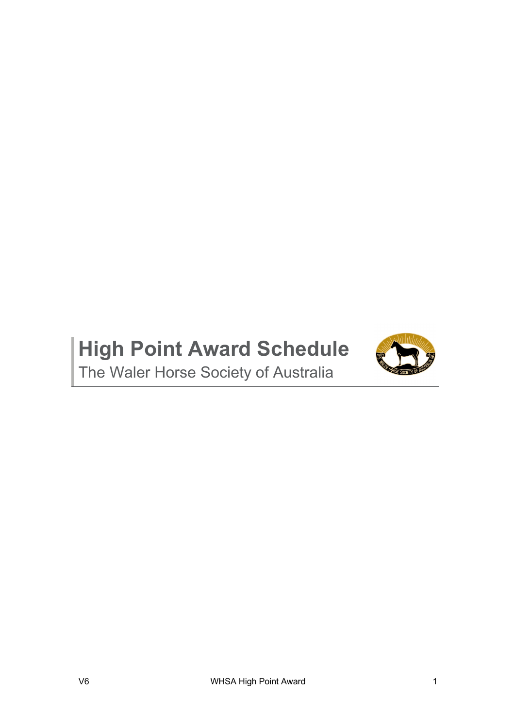# **High Point Award Schedule**



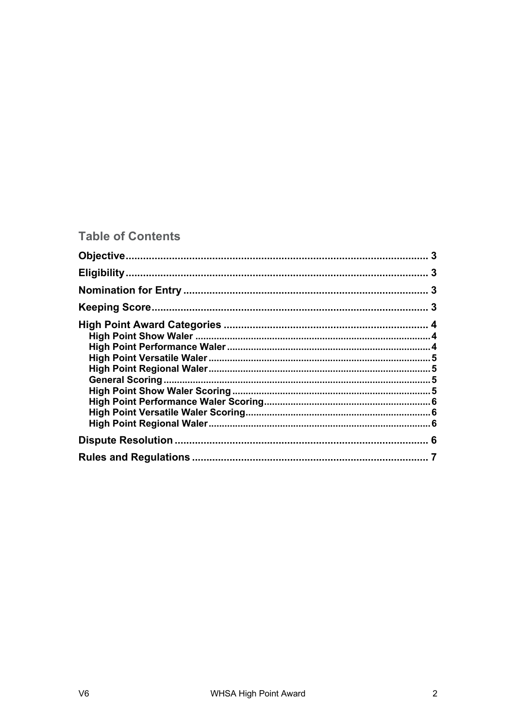# **Table of Contents**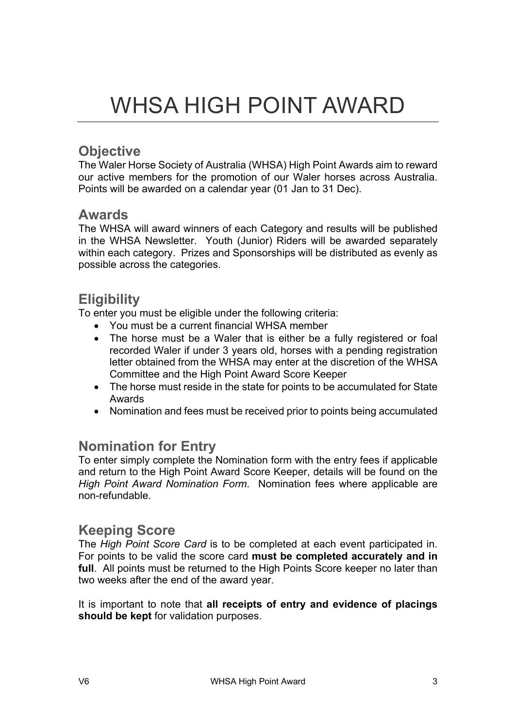# **Objective**

The Waler Horse Society of Australia (WHSA) High Point Awards aim to reward our active members for the promotion of our Waler horses across Australia. Points will be awarded on a calendar year (01 Jan to 31 Dec).

# **Awards**

The WHSA will award winners of each Category and results will be published in the WHSA Newsletter. Youth (Junior) Riders will be awarded separately within each category. Prizes and Sponsorships will be distributed as evenly as possible across the categories.

# **Eligibility**

To enter you must be eligible under the following criteria:

- You must be a current financial WHSA member
- The horse must be a Waler that is either be a fully registered or foal recorded Waler if under 3 years old, horses with a pending registration letter obtained from the WHSA may enter at the discretion of the WHSA Committee and the High Point Award Score Keeper
- The horse must reside in the state for points to be accumulated for State Awards
- Nomination and fees must be received prior to points being accumulated

# **Nomination for Entry**

To enter simply complete the Nomination form with the entry fees if applicable and return to the High Point Award Score Keeper, details will be found on the *High Point Award Nomination Form*. Nomination fees where applicable are non-refundable.

# **Keeping Score**

The *High Point Score Card* is to be completed at each event participated in. For points to be valid the score card **must be completed accurately and in full**. All points must be returned to the High Points Score keeper no later than two weeks after the end of the award year.

It is important to note that **all receipts of entry and evidence of placings should be kept** for validation purposes.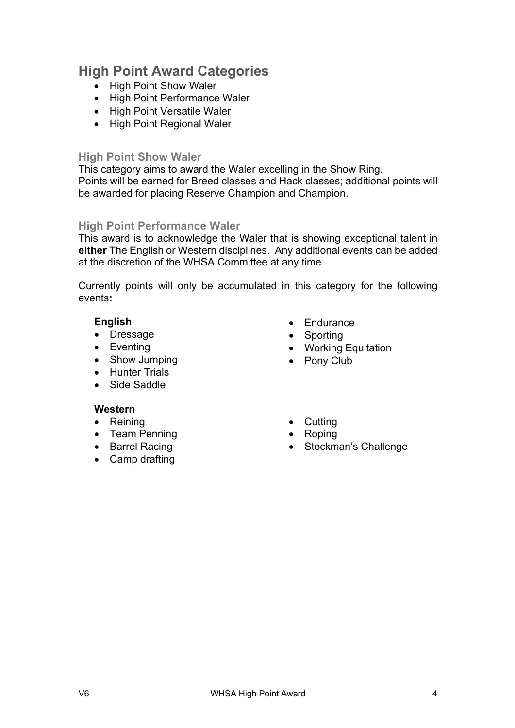# **High Point Award Categories**

- High Point Show Waler
- High Point Performance Waler
- High Point Versatile Waler
- High Point Regional Waler

### **High Point Show Waler**

This category aims to award the Waler excelling in the Show Ring. Points will be earned for Breed classes and Hack classes; additional points will be awarded for placing Reserve Champion and Champion.

## **High Point Performance Waler**

This award is to acknowledge the Waler that is showing exceptional talent in **either** The English or Western disciplines. Any additional events can be added at the discretion of the WHSA Committee at any time.

Currently points will only be accumulated in this category for the following events**:**

## **English**

- Dressage
- Eventing
- Show Jumping
- Hunter Trials
- Side Saddle

## **Western**

- Reining
- Team Penning
- Barrel Racing
- Camp drafting
- Endurance
- Sporting
- Working Equitation
- Pony Club
- Cutting
- Roping
- Stockman's Challenge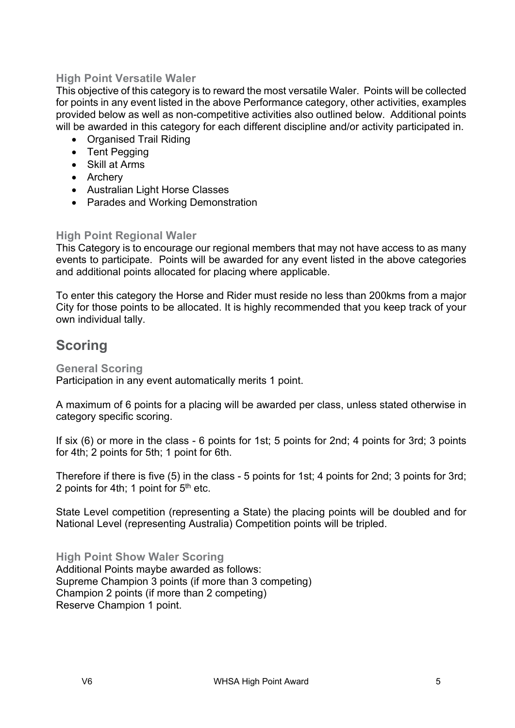## **High Point Versatile Waler**

This objective of this category is to reward the most versatile Waler. Points will be collected for points in any event listed in the above Performance category, other activities, examples provided below as well as non-competitive activities also outlined below. Additional points will be awarded in this category for each different discipline and/or activity participated in.

- Organised Trail Riding
- Tent Pegging
- Skill at Arms
- Archery
- Australian Light Horse Classes
- Parades and Working Demonstration

## **High Point Regional Waler**

This Category is to encourage our regional members that may not have access to as many events to participate. Points will be awarded for any event listed in the above categories and additional points allocated for placing where applicable.

To enter this category the Horse and Rider must reside no less than 200kms from a major City for those points to be allocated. It is highly recommended that you keep track of your own individual tally.

# **Scoring**

## **General Scoring**

Participation in any event automatically merits 1 point.

A maximum of 6 points for a placing will be awarded per class, unless stated otherwise in category specific scoring.

If six (6) or more in the class - 6 points for 1st; 5 points for 2nd; 4 points for 3rd; 3 points for 4th; 2 points for 5th; 1 point for 6th.

Therefore if there is five (5) in the class - 5 points for 1st; 4 points for 2nd; 3 points for 3rd; 2 points for 4th; 1 point for  $5<sup>th</sup>$  etc.

State Level competition (representing a State) the placing points will be doubled and for National Level (representing Australia) Competition points will be tripled.

**High Point Show Waler Scoring**

Additional Points maybe awarded as follows: Supreme Champion 3 points (if more than 3 competing) Champion 2 points (if more than 2 competing) Reserve Champion 1 point.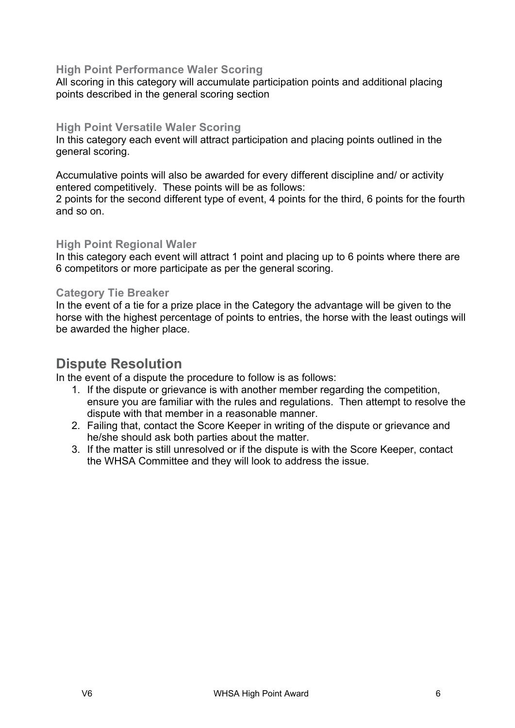## **High Point Performance Waler Scoring**

All scoring in this category will accumulate participation points and additional placing points described in the general scoring section

### **High Point Versatile Waler Scoring**

In this category each event will attract participation and placing points outlined in the general scoring.

Accumulative points will also be awarded for every different discipline and/ or activity entered competitively. These points will be as follows:

2 points for the second different type of event, 4 points for the third, 6 points for the fourth and so on.

#### **High Point Regional Waler**

In this category each event will attract 1 point and placing up to 6 points where there are 6 competitors or more participate as per the general scoring.

#### **Category Tie Breaker**

In the event of a tie for a prize place in the Category the advantage will be given to the horse with the highest percentage of points to entries, the horse with the least outings will be awarded the higher place.

## **Dispute Resolution**

In the event of a dispute the procedure to follow is as follows:

- 1. If the dispute or grievance is with another member regarding the competition, ensure you are familiar with the rules and regulations. Then attempt to resolve the dispute with that member in a reasonable manner.
- 2. Failing that, contact the Score Keeper in writing of the dispute or grievance and he/she should ask both parties about the matter.
- 3. If the matter is still unresolved or if the dispute is with the Score Keeper, contact the WHSA Committee and they will look to address the issue.